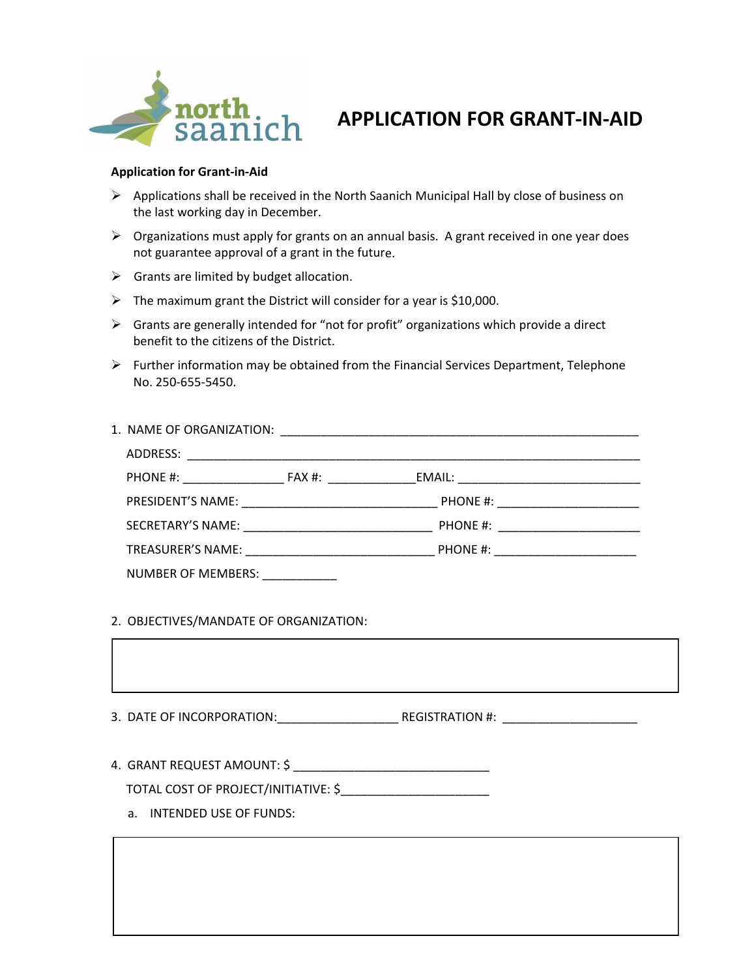

## **APPLICATION FOR GRANT-IN-AID**

## **Application for Grant‐in‐Aid**

- $\triangleright$  Applications shall be received in the North Saanich Municipal Hall by close of business on the last working day in December.
- $\triangleright$  Organizations must apply for grants on an annual basis. A grant received in one year does not guarantee approval of a grant in the future.
- $\triangleright$  Grants are limited by budget allocation.
- $\triangleright$  The maximum grant the District will consider for a year is \$10,000.
- $\triangleright$  Grants are generally intended for "not for profit" organizations which provide a direct benefit to the citizens of the District.
- $\triangleright$  Further information may be obtained from the Financial Services Department, Telephone No. 250‐655‐5450.

| ADDRESS:                  |  |  |
|---------------------------|--|--|
|                           |  |  |
|                           |  |  |
|                           |  |  |
|                           |  |  |
| <b>NUMBER OF MEMBERS:</b> |  |  |

## 2. OBJECTIVES/MANDATE OF ORGANIZATION:

3. DATE OF INCORPORATION:\_\_\_\_\_\_\_\_\_\_\_\_\_\_\_\_\_\_ REGISTRATION #: \_\_\_\_\_\_\_\_\_\_\_\_\_\_\_\_\_\_\_\_

4. GRANT REQUEST AMOUNT: \$ \_\_\_\_\_\_\_\_\_\_\_\_\_\_\_\_\_\_\_\_\_\_\_\_\_\_\_\_\_

TOTAL COST OF PROJECT/INITIATIVE: \$\_\_\_\_\_\_\_\_\_\_\_\_\_\_\_\_\_\_\_\_\_\_

a. INTENDED USE OF FUNDS: